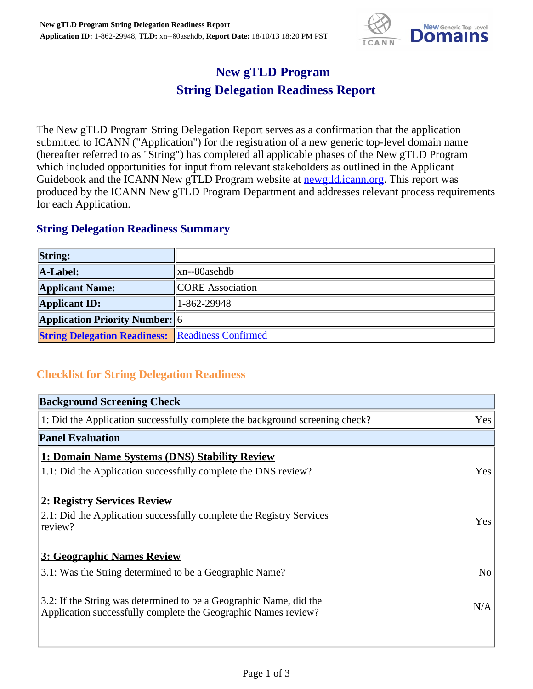

## **New gTLD Program String Delegation Readiness Report**

The New gTLD Program String Delegation Report serves as a confirmation that the application submitted to ICANN ("Application") for the registration of a new generic top-level domain name (hereafter referred to as "String") has completed all applicable phases of the New gTLD Program which included opportunities for input from relevant stakeholders as outlined in the Applicant Guidebook and the ICANN New gTLD Program website at **newgtld.jcann.org**. This report was produced by the ICANN New gTLD Program Department and addresses relevant process requirements for each Application.

## **String Delegation Readiness Summary**

| <b>String:</b>                                          |                         |
|---------------------------------------------------------|-------------------------|
| A-Label:                                                | $\ $ xn--80asehdb       |
| <b>Applicant Name:</b>                                  | <b>CORE</b> Association |
| <b>Applicant ID:</b>                                    | $ 1 - 862 - 29948 $     |
| <b>Application Priority Number:</b> 6                   |                         |
| <b>String Delegation Readiness:</b> Readiness Confirmed |                         |

## **Checklist for String Delegation Readiness**

| <b>Background Screening Check</b>                                            |     |
|------------------------------------------------------------------------------|-----|
| 1: Did the Application successfully complete the background screening check? | Yes |
| <b>Panel Evaluation</b>                                                      |     |
| <b>1: Domain Name Systems (DNS) Stability Review</b>                         |     |
| 1.1: Did the Application successfully complete the DNS review?               | Yes |
| 2: Registry Services Review                                                  |     |
| 2.1: Did the Application successfully complete the Registry Services         |     |
| review?                                                                      | Yes |
| 3: Geographic Names Review                                                   |     |
| 3.1: Was the String determined to be a Geographic Name?                      | No  |
| 3.2: If the String was determined to be a Geographic Name, did the           |     |
| Application successfully complete the Geographic Names review?               | N/A |
|                                                                              |     |
|                                                                              |     |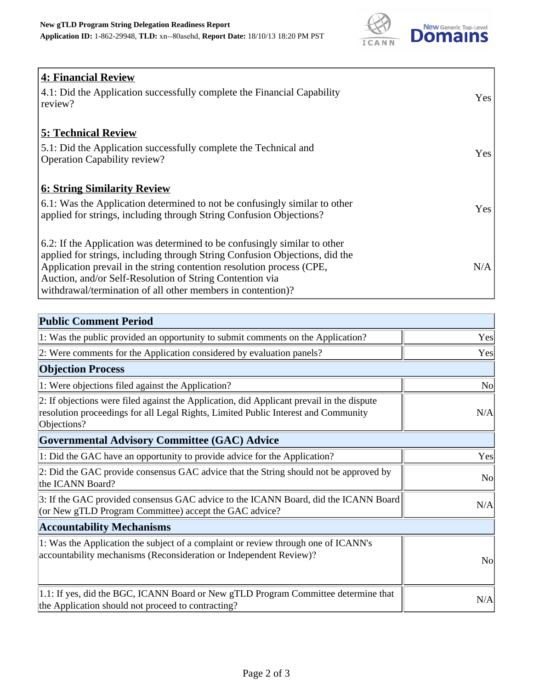

| <b>4: Financial Review</b><br>$\vert$ 4.1: Did the Application successfully complete the Financial Capability |            |
|---------------------------------------------------------------------------------------------------------------|------------|
| review?                                                                                                       | <b>Yes</b> |
| <b>5: Technical Review</b>                                                                                    |            |
| 5.1: Did the Application successfully complete the Technical and                                              | <b>Yes</b> |
| <b>Operation Capability review?</b>                                                                           |            |
| <b>6: String Similarity Review</b>                                                                            |            |
| $\vert$ 6.1: Was the Application determined to not be confusingly similar to other                            | Yes        |
| applied for strings, including through String Confusion Objections?                                           |            |
| $\vert$ 6.2: If the Application was determined to be confusingly similar to other                             |            |
| applied for strings, including through String Confusion Objections, did the                                   |            |
| Application prevail in the string contention resolution process (CPE,                                         | N/A        |
| Auction, and/or Self-Resolution of String Contention via                                                      |            |
| withdrawal/termination of all other members in contention)?                                                   |            |

| <b>Public Comment Period</b>                                                                                                                                                                   |                |
|------------------------------------------------------------------------------------------------------------------------------------------------------------------------------------------------|----------------|
| 1: Was the public provided an opportunity to submit comments on the Application?                                                                                                               | Yes            |
| 2: Were comments for the Application considered by evaluation panels?                                                                                                                          | Yes            |
| <b>Objection Process</b>                                                                                                                                                                       |                |
| 1: Were objections filed against the Application?                                                                                                                                              | <b>No</b>      |
| 2: If objections were filed against the Application, did Applicant prevail in the dispute<br>resolution proceedings for all Legal Rights, Limited Public Interest and Community<br>Objections? | N/A            |
| <b>Governmental Advisory Committee (GAC) Advice</b>                                                                                                                                            |                |
| 1: Did the GAC have an opportunity to provide advice for the Application?                                                                                                                      | Yes            |
| 2: Did the GAC provide consensus GAC advice that the String should not be approved by<br>the ICANN Board?                                                                                      | N <sub>o</sub> |
| 3: If the GAC provided consensus GAC advice to the ICANN Board, did the ICANN Board<br>(or New gTLD Program Committee) accept the GAC advice?                                                  | N/A            |
| <b>Accountability Mechanisms</b>                                                                                                                                                               |                |
| 1: Was the Application the subject of a complaint or review through one of ICANN's<br>accountability mechanisms (Reconsideration or Independent Review)?                                       | No             |
| 1.1: If yes, did the BGC, ICANN Board or New gTLD Program Committee determine that<br>the Application should not proceed to contracting?                                                       | N/A            |